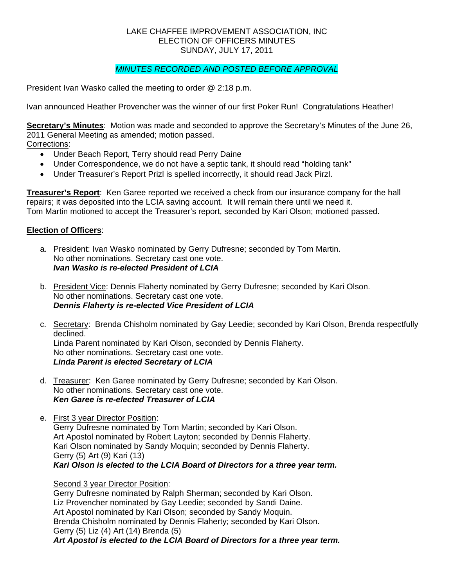#### LAKE CHAFFEE IMPROVEMENT ASSOCIATION, INC ELECTION OF OFFICERS MINUTES SUNDAY, JULY 17, 2011

# *MINUTES RECORDED AND POSTED BEFORE APPROVAL*

President Ivan Wasko called the meeting to order @ 2:18 p.m.

Ivan announced Heather Provencher was the winner of our first Poker Run! Congratulations Heather!

**Secretary's Minutes**: Motion was made and seconded to approve the Secretary's Minutes of the June 26, 2011 General Meeting as amended; motion passed. Corrections:

- - Under Beach Report, Terry should read Perry Daine
	- Under Correspondence, we do not have a septic tank, it should read "holding tank"
	- Under Treasurer's Report Prizl is spelled incorrectly, it should read Jack Pirzl.

**Treasurer's Report**: Ken Garee reported we received a check from our insurance company for the hall repairs; it was deposited into the LCIA saving account. It will remain there until we need it. Tom Martin motioned to accept the Treasurer's report, seconded by Kari Olson; motioned passed.

## **Election of Officers**:

- a. President: Ivan Wasko nominated by Gerry Dufresne; seconded by Tom Martin. No other nominations. Secretary cast one vote. *Ivan Wasko is re-elected President of LCIA*
- b. President Vice: Dennis Flaherty nominated by Gerry Dufresne; seconded by Kari Olson. No other nominations. Secretary cast one vote. *Dennis Flaherty is re-elected Vice President of LCIA*
- c. Secretary: Brenda Chisholm nominated by Gay Leedie; seconded by Kari Olson, Brenda respectfully declined. Linda Parent nominated by Kari Olson, seconded by Dennis Flaherty. No other nominations. Secretary cast one vote. *Linda Parent is elected Secretary of LCIA*
- d. Treasurer: Ken Garee nominated by Gerry Dufresne; seconded by Kari Olson. No other nominations. Secretary cast one vote. *Ken Garee is re-elected Treasurer of LCIA*
- e. First 3 year Director Position: Gerry Dufresne nominated by Tom Martin; seconded by Kari Olson. Art Apostol nominated by Robert Layton; seconded by Dennis Flaherty. Kari Olson nominated by Sandy Moquin; seconded by Dennis Flaherty. Gerry (5) Art (9) Kari (13) *Kari Olson is elected to the LCIA Board of Directors for a three year term.*

#### Second 3 year Director Position:

 Gerry Dufresne nominated by Ralph Sherman; seconded by Kari Olson. Liz Provencher nominated by Gay Leedie; seconded by Sandi Daine. Art Apostol nominated by Kari Olson; seconded by Sandy Moquin. Brenda Chisholm nominated by Dennis Flaherty; seconded by Kari Olson. Gerry (5) Liz (4) Art (14) Brenda (5) *Art Apostol is elected to the LCIA Board of Directors for a three year term.*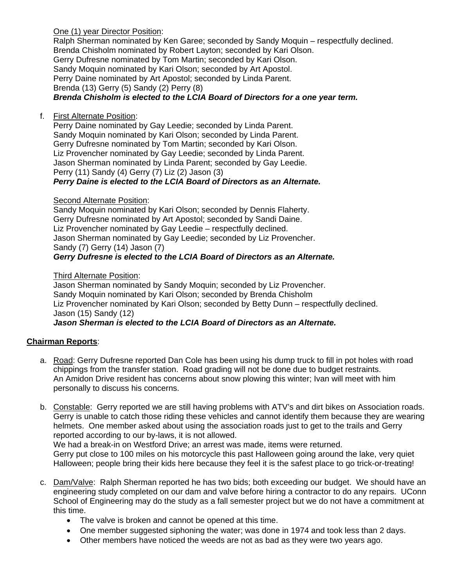One (1) year Director Position:

 Ralph Sherman nominated by Ken Garee; seconded by Sandy Moquin – respectfully declined. Brenda Chisholm nominated by Robert Layton; seconded by Kari Olson. Gerry Dufresne nominated by Tom Martin; seconded by Kari Olson. Sandy Moquin nominated by Kari Olson; seconded by Art Apostol. Perry Daine nominated by Art Apostol; seconded by Linda Parent. Brenda (13) Gerry (5) Sandy (2) Perry (8) *Brenda Chisholm is elected to the LCIA Board of Directors for a one year term.* 

f. First Alternate Position:

Perry Daine nominated by Gay Leedie; seconded by Linda Parent. Sandy Moquin nominated by Kari Olson; seconded by Linda Parent. Gerry Dufresne nominated by Tom Martin; seconded by Kari Olson. Liz Provencher nominated by Gay Leedie; seconded by Linda Parent. Jason Sherman nominated by Linda Parent; seconded by Gay Leedie. Perry (11) Sandy (4) Gerry (7) Liz (2) Jason (3) *Perry Daine is elected to the LCIA Board of Directors as an Alternate.* 

#### **Second Alternate Position:**

 Sandy Moquin nominated by Kari Olson; seconded by Dennis Flaherty. Gerry Dufresne nominated by Art Apostol; seconded by Sandi Daine. Liz Provencher nominated by Gay Leedie – respectfully declined. Jason Sherman nominated by Gay Leedie; seconded by Liz Provencher. Sandy (7) Gerry (14) Jason (7) *Gerry Dufresne is elected to the LCIA Board of Directors as an Alternate.* 

#### Third Alternate Position:

 Jason Sherman nominated by Sandy Moquin; seconded by Liz Provencher. Sandy Moquin nominated by Kari Olson; seconded by Brenda Chisholm Liz Provencher nominated by Kari Olson; seconded by Betty Dunn – respectfully declined. Jason (15) Sandy (12) *Jason Sherman is elected to the LCIA Board of Directors as an Alternate.* 

## **Chairman Reports**:

- a. Road: Gerry Dufresne reported Dan Cole has been using his dump truck to fill in pot holes with road chippings from the transfer station. Road grading will not be done due to budget restraints. An Amidon Drive resident has concerns about snow plowing this winter; Ivan will meet with him personally to discuss his concerns.
- b. Constable: Gerry reported we are still having problems with ATV's and dirt bikes on Association roads. Gerry is unable to catch those riding these vehicles and cannot identify them because they are wearing helmets. One member asked about using the association roads just to get to the trails and Gerry reported according to our by-laws, it is not allowed.

We had a break-in on Westford Drive; an arrest was made, items were returned. Gerry put close to 100 miles on his motorcycle this past Halloween going around the lake, very quiet Halloween; people bring their kids here because they feel it is the safest place to go trick-or-treating!

- c. Dam/Valve: Ralph Sherman reported he has two bids; both exceeding our budget. We should have an engineering study completed on our dam and valve before hiring a contractor to do any repairs. UConn School of Engineering may do the study as a fall semester project but we do not have a commitment at this time.
	- The valve is broken and cannot be opened at this time.
	- One member suggested siphoning the water; was done in 1974 and took less than 2 days.
	- Other members have noticed the weeds are not as bad as they were two years ago.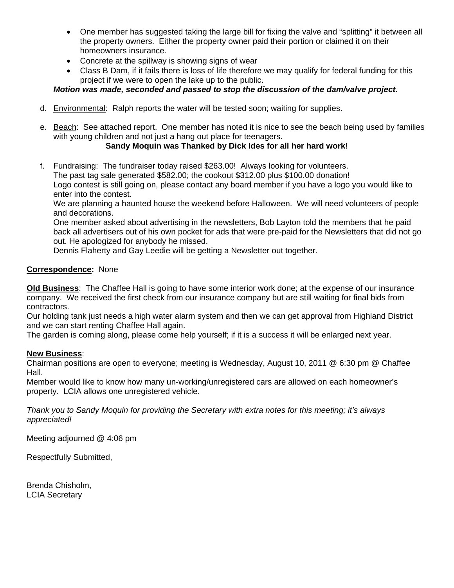- One member has suggested taking the large bill for fixing the valve and "splitting" it between all the property owners. Either the property owner paid their portion or claimed it on their homeowners insurance.
- Concrete at the spillway is showing signs of wear
- Class B Dam, if it fails there is loss of life therefore we may qualify for federal funding for this project if we were to open the lake up to the public.

# *Motion was made, seconded and passed to stop the discussion of the dam/valve project.*

- d. Environmental: Ralph reports the water will be tested soon; waiting for supplies.
- e. Beach: See attached report. One member has noted it is nice to see the beach being used by families with young children and not just a hang out place for teenagers.

## **Sandy Moquin was Thanked by Dick Ides for all her hard work!**

f. Fundraising: The fundraiser today raised \$263.00! Always looking for volunteers. The past tag sale generated \$582.00; the cookout \$312.00 plus \$100.00 donation! Logo contest is still going on, please contact any board member if you have a logo you would like to enter into the contest.

We are planning a haunted house the weekend before Halloween. We will need volunteers of people and decorations.

One member asked about advertising in the newsletters, Bob Layton told the members that he paid back all advertisers out of his own pocket for ads that were pre-paid for the Newsletters that did not go out. He apologized for anybody he missed.

Dennis Flaherty and Gay Leedie will be getting a Newsletter out together.

## **Correspondence:** None

**Old Business**: The Chaffee Hall is going to have some interior work done; at the expense of our insurance company. We received the first check from our insurance company but are still waiting for final bids from contractors.

Our holding tank just needs a high water alarm system and then we can get approval from Highland District and we can start renting Chaffee Hall again.

The garden is coming along, please come help yourself; if it is a success it will be enlarged next year.

## **New Business**:

Chairman positions are open to everyone; meeting is Wednesday, August 10, 2011 @ 6:30 pm @ Chaffee Hall.

Member would like to know how many un-working/unregistered cars are allowed on each homeowner's property. LCIA allows one unregistered vehicle.

*Thank you to Sandy Moquin for providing the Secretary with extra notes for this meeting; it's always appreciated!* 

Meeting adjourned @ 4:06 pm

Respectfully Submitted,

Brenda Chisholm, LCIA Secretary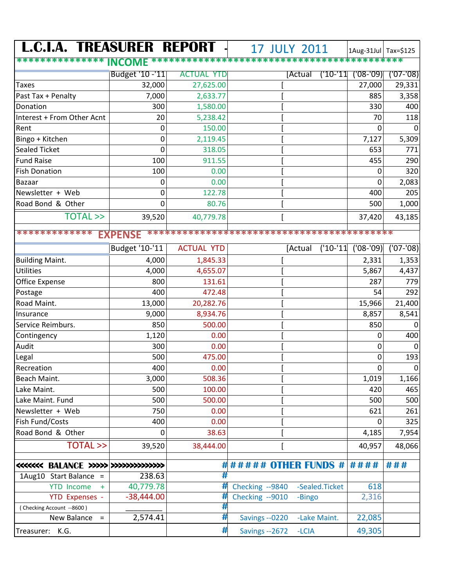| <b>L.C.I.A. TREASURER REPORT</b>           |                 |                   | <b>17 JULY 2011</b>              |         |                | 1Aug-31Jul   Tax=\$125 |              |
|--------------------------------------------|-----------------|-------------------|----------------------------------|---------|----------------|------------------------|--------------|
| **************                             | <b>INCOME</b>   |                   | ******************************** |         |                |                        |              |
|                                            | Budget '10 -'11 | <b>ACTUAL YTD</b> |                                  | [Actual | ('10-'11       | $(08 - 09)$            | $(07 - 08)$  |
| <b>Taxes</b>                               | 32,000          | 27,625.00         |                                  |         |                | 27,000                 | 29,331       |
| Past Tax + Penalty                         | 7,000           | 2,633.77          |                                  |         |                | 885                    | 3,358        |
| Donation                                   | 300             | 1,580.00          |                                  |         |                | 330                    | 400          |
| Interest + From Other Acnt                 | 20              | 5,238.42          |                                  |         |                | 70                     | 118          |
| Rent                                       | 0               | 150.00            |                                  |         |                | 0                      |              |
| Bingo + Kitchen                            | 0               | 2,119.45          |                                  |         |                | 7,127                  | 5,309        |
| <b>Sealed Ticket</b>                       | 0               | 318.05            |                                  |         |                | 653                    | 771          |
| <b>Fund Raise</b>                          | 100             | 911.55            |                                  |         |                | 455                    | 290          |
| <b>Fish Donation</b>                       | 100             | 0.00              |                                  |         |                | 0                      | 320          |
| Bazaar                                     | 0               | 0.00              |                                  |         |                | 0                      | 2,083        |
| Newsletter + Web                           | 0               | 122.78            |                                  |         |                | 400                    | 205          |
| Road Bond & Other                          | 0               | 80.76             |                                  |         |                | 500                    | 1,000        |
| <b>TOTAL &gt;&gt;</b>                      | 39,520          | 40,779.78         |                                  |         |                | 37,420                 | 43,185       |
| *************<br><b>EXPENSE</b>            |                 |                   |                                  |         |                |                        |              |
|                                            | Budget '10-'11  | <b>ACTUAL YTD</b> |                                  | [Actual | $('10-'11)$    | $(08 - 09)$            | $(07 - 08)$  |
|                                            |                 |                   |                                  |         |                |                        |              |
| <b>Building Maint.</b><br><b>Utilities</b> | 4,000           | 1,845.33          |                                  |         |                | 2,331                  | 1,353        |
|                                            | 4,000           | 4,655.07          |                                  |         |                | 5,867                  | 4,437<br>779 |
| <b>Office Expense</b>                      | 800             | 131.61            |                                  |         |                | 287                    |              |
| Postage                                    | 400             | 472.48            |                                  |         |                | 54                     | 292          |
| Road Maint.                                | 13,000          | 20,282.76         |                                  |         |                | 15,966                 | 21,400       |
| Insurance                                  | 9,000           | 8,934.76          |                                  |         |                | 8,857                  | 8,541        |
| Service Reimburs.                          | 850             | 500.00            |                                  |         |                | 850                    | 0            |
| Contingency                                | 1,120           | 0.00              |                                  |         |                | 0                      | 400          |
| Audit                                      | 300             | 0.00<br>475.00    |                                  |         |                | 0                      |              |
| Legal                                      | 500             |                   |                                  |         |                | 0                      | 193          |
| Recreation                                 | 400             | 0.00              |                                  |         |                | $\mathbf 0$            | 0            |
| Beach Maint.<br>Lake Maint.                | 3,000           | 508.36<br>100.00  |                                  |         |                | 1,019                  | 1,166        |
| Lake Maint. Fund                           | 500<br>500      |                   |                                  |         |                | 420<br>500             | 465          |
| Newsletter + Web                           | 750             | 500.00<br>0.00    |                                  |         |                | 621                    | 500<br>261   |
| Fish Fund/Costs                            | 400             | 0.00              |                                  |         |                |                        | 325          |
| Road Bond & Other                          | 0               | 38.63             |                                  |         |                | 0<br>4,185             |              |
|                                            |                 |                   |                                  |         |                |                        | 7,954        |
| <b>TOTAL &gt;&gt;</b>                      | 39,520          | 38,444.00         |                                  |         |                | 40,957                 | 48,066       |
| <<<<<<< BALANCE >>>>>>>>>>>>>>>>>>>>>>>>   |                 | #                 | ##### OTHER FUNDS # ####         |         |                |                        | ###          |
| 1Aug10 Start Balance =                     | 238.63          | #                 |                                  |         |                |                        |              |
| <b>YTD Income</b><br>$+$                   | 40,779.78       | #                 | Checking --9840                  |         | -Sealed.Ticket | 618                    |              |
| <b>YTD Expenses -</b>                      | $-38,444.00$    | #                 | Checking --9010                  | -Bingo  |                | 2,316                  |              |
| (Checking Account --8600)                  |                 | #                 |                                  |         |                |                        |              |
| New Balance<br>$\equiv$                    | 2,574.41        | #                 | Savings -- 0220                  |         | -Lake Maint.   | 22,085                 |              |
| Treasurer: K.G.                            |                 | #                 | Savings -- 2672                  | -LCIA   |                | 49,305                 |              |